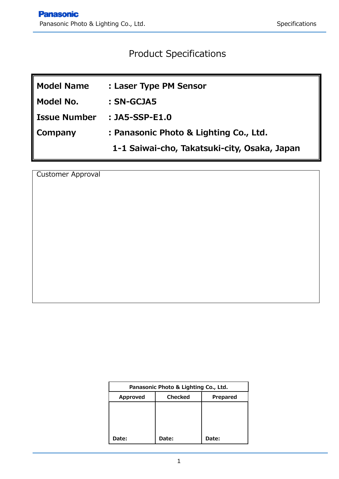# Product Specifications

| <b>Model Name</b>   | : Laser Type PM Sensor                       |
|---------------------|----------------------------------------------|
| Model No.           | : SN-GCJA5                                   |
| <b>Issue Number</b> | $:$ JA5-SSP-E1.0                             |
| Company             | : Panasonic Photo & Lighting Co., Ltd.       |
|                     | 1-1 Saiwai-cho, Takatsuki-city, Osaka, Japan |

Customer Approval

| Panasonic Photo & Lighting Co., Ltd.   |       |       |  |  |  |  |  |
|----------------------------------------|-------|-------|--|--|--|--|--|
| <b>Checked</b><br>Approved<br>Prepared |       |       |  |  |  |  |  |
|                                        |       |       |  |  |  |  |  |
|                                        |       |       |  |  |  |  |  |
|                                        |       |       |  |  |  |  |  |
| Date:                                  | Date: | Date: |  |  |  |  |  |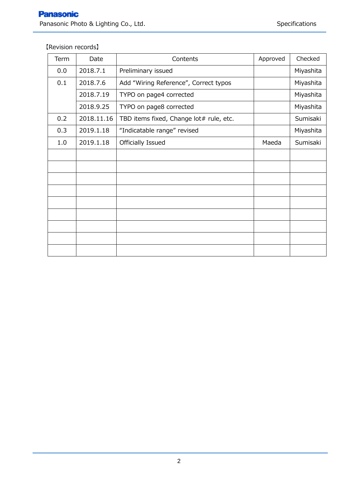# 【Revision records】

| Term | Date       | Contents                                | Approved | Checked   |
|------|------------|-----------------------------------------|----------|-----------|
| 0.0  | 2018.7.1   | Preliminary issued                      |          | Miyashita |
| 0.1  | 2018.7.6   | Add "Wiring Reference", Correct typos   |          | Miyashita |
|      | 2018.7.19  | TYPO on page4 corrected                 |          | Miyashita |
|      | 2018.9.25  | TYPO on page8 corrected                 |          | Miyashita |
| 0.2  | 2018.11.16 | TBD items fixed, Change lot# rule, etc. |          | Sumisaki  |
| 0.3  | 2019.1.18  | "Indicatable range" revised             |          | Miyashita |
| 1.0  | 2019.1.18  | Officially Issued                       | Maeda    | Sumisaki  |
|      |            |                                         |          |           |
|      |            |                                         |          |           |
|      |            |                                         |          |           |
|      |            |                                         |          |           |
|      |            |                                         |          |           |
|      |            |                                         |          |           |
|      |            |                                         |          |           |
|      |            |                                         |          |           |
|      |            |                                         |          |           |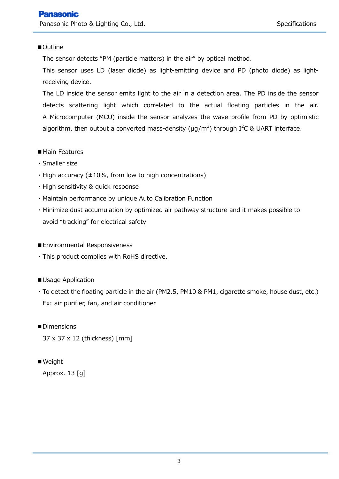## ■Outline

The sensor detects "PM (particle matters) in the air" by optical method.

This sensor uses LD (laser diode) as light-emitting device and PD (photo diode) as lightreceiving device.

The LD inside the sensor emits light to the air in a detection area. The PD inside the sensor detects scattering light which correlated to the actual floating particles in the air. A Microcomputer (MCU) inside the sensor analyzes the wave profile from PD by optimistic algorithm, then output a converted mass-density ( $\mu$ g/m<sup>3</sup>) through I<sup>2</sup>C & UART interface.

- Main Features
- ・Smaller size
- $\cdot$  High accuracy ( $\pm$ 10%, from low to high concentrations)
- ・High sensitivity & quick response
- ・Maintain performance by unique Auto Calibration Function
- ・Minimize dust accumulation by optimized air pathway structure and it makes possible to avoid "tracking" for electrical safety
- Environmental Responsiveness
- ・This product complies with RoHS directive.
- Usage Application
- ・To detect the floating particle in the air (PM2.5, PM10 & PM1, cigarette smoke, house dust, etc.) Ex: air purifier, fan, and air conditioner
- ■Dimensions

37 x 37 x 12 (thickness) [mm]

■ Weight

Approx. 13 [g]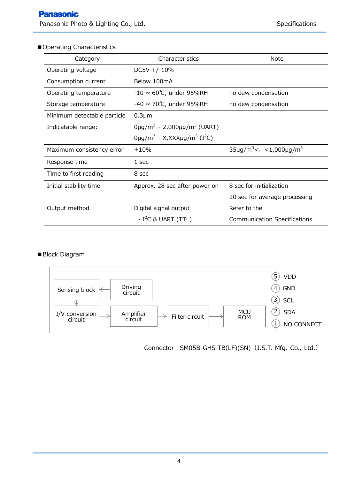## ■ Operating Characteristics

| Category                    | Characteristics                                                | Note                                                                |  |
|-----------------------------|----------------------------------------------------------------|---------------------------------------------------------------------|--|
| Operating voltage           | $DC5V + (-10\%$                                                |                                                                     |  |
| Consumption current         | Below 100mA                                                    |                                                                     |  |
| Operating temperature       | $-10 \sim 60^{\circ}$ C, under 95%RH                           | no dew condensation                                                 |  |
| Storage temperature         | $-40 \sim 70^{\circ}$ C, under 95%RH                           | no dew condensation                                                 |  |
| Minimum detectable particle | $0.3 \mu m$                                                    |                                                                     |  |
| Indicatable range:          | $0 \mu g/m^3 - 2,000 \mu g/m^3$ (UART)                         |                                                                     |  |
|                             | 0µg/m <sup>3</sup> – X,XXXµg/m <sup>3</sup> (I <sup>2</sup> C) |                                                                     |  |
| Maximum consistency error   | ±10%                                                           | $35\mu$ g/m <sup>3</sup> < $\langle$ < 1,000 $\mu$ g/m <sup>3</sup> |  |
| Response time               | 1 sec                                                          |                                                                     |  |
| Time to first reading       | 8 sec                                                          |                                                                     |  |
| Initial stability time      | Approx. 28 sec after power on                                  | 8 sec for initialization                                            |  |
|                             |                                                                | 20 sec for average processing                                       |  |
| Output method               | Digital signal output                                          | Refer to the                                                        |  |
|                             | $\cdot$ I <sup>2</sup> C & UART (TTL)                          | <b>Communication Specifications</b>                                 |  |

#### ■ Block Diagram



Connector: SM05B-GHS-TB(LF)(SN) (J.S.T. Mfg. Co., Ltd.)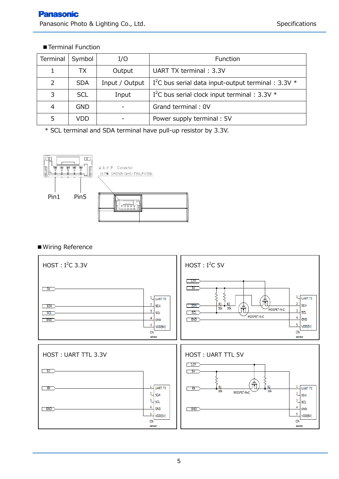# ■ Terminal Function

| Terminal      | Symbol     | I/O            | Function                                                          |
|---------------|------------|----------------|-------------------------------------------------------------------|
|               | ТX         | Output         | UART TX terminal: 3.3V                                            |
| $\mathcal{P}$ | <b>SDA</b> | Input / Output | I <sup>2</sup> C bus serial data input-output terminal : 3.3V $*$ |
| 3             | <b>SCL</b> | Input          | I <sup>2</sup> C bus serial clock input terminal : $3.3V$ *       |
| 4             | GND        |                | Grand terminal: 0V                                                |
|               | VDD        |                | Power supply terminal: 5V                                         |

\* SCL terminal and SDA terminal have pull-up resistor by 3.3V.



# ■Wiring Reference

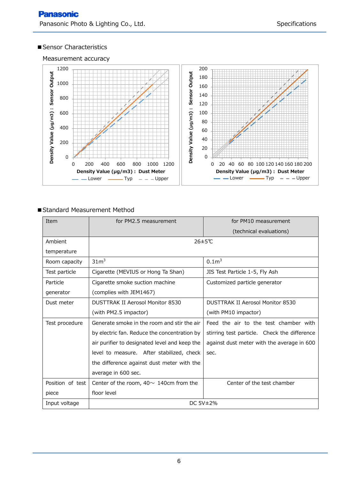#### ■ Sensor Characteristics

Measurement accuracy



#### ■ Standard Measurement Method

| Item             | for PM2.5 measurement                         | for PM10 measurement                         |  |  |
|------------------|-----------------------------------------------|----------------------------------------------|--|--|
|                  |                                               | (technical evaluations)                      |  |  |
| Ambient          | 26±5℃                                         |                                              |  |  |
| temperature      |                                               |                                              |  |  |
| Room capacity    | 31 <sup>3</sup>                               | 0.1 <sup>3</sup>                             |  |  |
| Test particle    | Cigarette (MEVIUS or Hong Ta Shan)            | JIS Test Particle 1-5, Fly Ash               |  |  |
| Particle         | Cigarette smoke suction machine               | Customized particle generator                |  |  |
| generator        | (complies with JEM1467)                       |                                              |  |  |
| Dust meter       | <b>DUSTTRAK II Aerosol Monitor 8530</b>       | <b>DUSTTRAK II Aerosol Monitor 8530</b>      |  |  |
|                  | (with PM2.5 impactor)                         | (with PM10 impactor)                         |  |  |
| Test procedure   | Generate smoke in the room and stir the air   | Feed the air to the test chamber with        |  |  |
|                  | by electric fan. Reduce the concentration by  | stirring test particle. Check the difference |  |  |
|                  | air purifier to designated level and keep the | against dust meter with the average in 600   |  |  |
|                  | level to measure. After stabilized, check     | sec.                                         |  |  |
|                  | the difference against dust meter with the    |                                              |  |  |
|                  | average in 600 sec.                           |                                              |  |  |
| Position of test | Center of the room, $40 \sim 140$ cm from the | Center of the test chamber                   |  |  |
| piece            | floor level                                   |                                              |  |  |
| Input voltage    | DC $5V\pm2\%$                                 |                                              |  |  |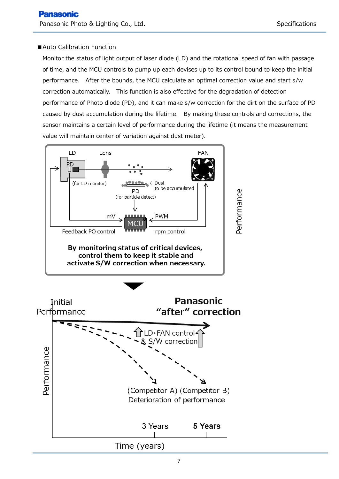#### ■ Auto Calibration Function

Monitor the status of light output of laser diode (LD) and the rotational speed of fan with passage of time, and the MCU controls to pump up each devises up to its control bound to keep the initial performance. After the bounds, the MCU calculate an optimal correction value and start s/w correction automatically. This function is also effective for the degradation of detection performance of Photo diode (PD), and it can make s/w correction for the dirt on the surface of PD caused by dust accumulation during the lifetime. By making these controls and corrections, the sensor maintains a certain level of performance during the lifetime (it means the measurement value will maintain center of variation against dust meter).

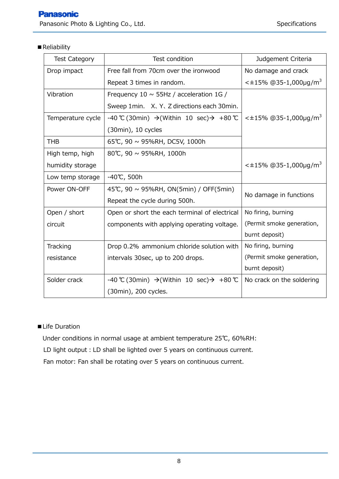# ■ Reliability

| <b>Test Category</b> | Test condition                                                    | Judgement Criteria                     |  |
|----------------------|-------------------------------------------------------------------|----------------------------------------|--|
| Drop impact          | Free fall from 70cm over the ironwood                             | No damage and crack                    |  |
|                      | Repeat 3 times in random.                                         | $\leq$ ±15% @35-1,000µg/m <sup>3</sup> |  |
| Vibration            | Frequency 10 $\sim$ 55Hz / acceleration 1G /                      |                                        |  |
|                      | Sweep 1 min. X, Y, Z directions each 30 min.                      |                                        |  |
| Temperature cycle    | $-40$ °C (30min) → (Within 10 sec) → +80 °C                       | $\leq$ ±15% @35-1,000µg/m <sup>3</sup> |  |
|                      | (30min), 10 cycles                                                |                                        |  |
| <b>THB</b>           | 65℃, 90 ~ 95%RH, DC5V, 1000h                                      |                                        |  |
| High temp, high      | 80℃, 90 ~ 95%RH, 1000h                                            |                                        |  |
| humidity storage     |                                                                   | $\leq$ ±15% @35-1,000µg/m <sup>3</sup> |  |
| Low temp storage     | $-40^{\circ}$ C, 500h                                             |                                        |  |
| Power ON-OFF         | 45℃, 90 ~ 95%RH, ON(5min) / OFF(5min)                             |                                        |  |
|                      | Repeat the cycle during 500h.                                     | No damage in functions                 |  |
| Open / short         | Open or short the each terminal of electrical                     | No firing, burning                     |  |
| circuit              | components with applying operating voltage.                       | (Permit smoke generation,              |  |
|                      |                                                                   | burnt deposit)                         |  |
| Tracking             | Drop 0.2% ammonium chloride solution with                         | No firing, burning                     |  |
| resistance           | intervals 30sec, up to 200 drops.                                 | (Permit smoke generation,              |  |
|                      |                                                                   | burnt deposit)                         |  |
| Solder crack         | -40 °C (30min) $\rightarrow$ (Within 10 sec) $\rightarrow$ +80 °C | No crack on the soldering              |  |
|                      | (30min), 200 cycles.                                              |                                        |  |

# ■Life Duration

Under conditions in normal usage at ambient temperature 25℃, 60%RH:

LD light output: LD shall be lighted over 5 years on continuous current.

Fan motor: Fan shall be rotating over 5 years on continuous current.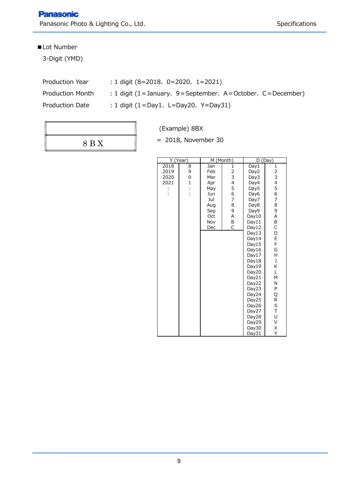Panasonic Photo & Lighting Co., Ltd. Specifications Specifications

# ■Lot Number

3-Digit (YMD)

- Production Year :1 digit (8=2018、0=2020、1=2021)
- Production Month : 1 digit (1=January, 9=September, A=October, C=December)
- 
- Production Date : 1 digit (1=Day1, L=Day20, Y=Day31)

| 8 B X |  |
|-------|--|
|       |  |

(Example) 8BX

 $= 2018$ , November 30

| Y (Year)                          |                                  | M (Month)                                                                        |                                                                                  | D (Day)                                                                                                                                                        |                                                                                                                     |
|-----------------------------------|----------------------------------|----------------------------------------------------------------------------------|----------------------------------------------------------------------------------|----------------------------------------------------------------------------------------------------------------------------------------------------------------|---------------------------------------------------------------------------------------------------------------------|
| 2018<br>2019<br>2020<br>2021<br>÷ | 8<br>9<br>0<br>$\mathbf{1}$<br>÷ | Jan<br>Feb<br>Mar<br>Apr<br>May<br>Jun<br>Jul<br>Aug<br>Sep<br>Oct<br>Nov<br>Dec | $\mathbf{1}$<br>2<br>3<br>4<br>5<br>6<br>$\overline{7}$<br>8<br>9<br>А<br>B<br>Ċ | Day1<br>Day2<br>Day3<br>Day4<br>Day5<br>Day6<br>Day7<br>Day8<br>Day9<br>Day10<br>Day11<br>Day12<br>Day13<br>Day14<br>Day15<br>Day16<br>Day17<br>Day18<br>Day19 | $\mathbf{1}$<br>2<br>3<br>4<br>5<br>6<br>$\overline{7}$<br>8<br>9<br>A<br>B<br>C<br>D<br>E<br>F<br>G<br>Н<br>J<br>Κ |
|                                   |                                  |                                                                                  |                                                                                  |                                                                                                                                                                |                                                                                                                     |
|                                   |                                  |                                                                                  |                                                                                  |                                                                                                                                                                |                                                                                                                     |
|                                   |                                  |                                                                                  |                                                                                  | Day20                                                                                                                                                          | L                                                                                                                   |
|                                   |                                  |                                                                                  |                                                                                  | Day21                                                                                                                                                          | M                                                                                                                   |
|                                   |                                  |                                                                                  |                                                                                  | Day22                                                                                                                                                          | Ν                                                                                                                   |
|                                   |                                  |                                                                                  |                                                                                  | Day23                                                                                                                                                          | P                                                                                                                   |
|                                   |                                  |                                                                                  |                                                                                  | Day24                                                                                                                                                          | Q                                                                                                                   |
|                                   |                                  |                                                                                  |                                                                                  | Day25<br>Day26                                                                                                                                                 | R<br>S                                                                                                              |
|                                   |                                  |                                                                                  |                                                                                  | Day27                                                                                                                                                          | T                                                                                                                   |
|                                   |                                  |                                                                                  |                                                                                  | Day28                                                                                                                                                          | U                                                                                                                   |
|                                   |                                  |                                                                                  |                                                                                  | Day29                                                                                                                                                          | V                                                                                                                   |
|                                   |                                  |                                                                                  |                                                                                  | Day30                                                                                                                                                          | Χ                                                                                                                   |
|                                   |                                  |                                                                                  |                                                                                  | Day31                                                                                                                                                          | Υ                                                                                                                   |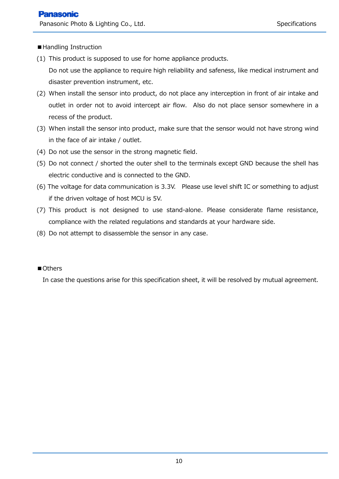■Handling Instruction

- (1) This product is supposed to use for home appliance products. Do not use the appliance to require high reliability and safeness, like medical instrument and disaster prevention instrument, etc.
- (2) When install the sensor into product, do not place any interception in front of air intake and outlet in order not to avoid intercept air flow. Also do not place sensor somewhere in a recess of the product.
- (3) When install the sensor into product, make sure that the sensor would not have strong wind in the face of air intake / outlet.
- (4) Do not use the sensor in the strong magnetic field.
- (5) Do not connect / shorted the outer shell to the terminals except GND because the shell has electric conductive and is connected to the GND.
- (6) The voltage for data communication is 3.3V. Please use level shift IC or something to adjust if the driven voltage of host MCU is 5V.
- (7) This product is not designed to use stand-alone. Please considerate flame resistance, compliance with the related regulations and standards at your hardware side.
- (8) Do not attempt to disassemble the sensor in any case.

# ■Others

In case the questions arise for this specification sheet, it will be resolved by mutual agreement.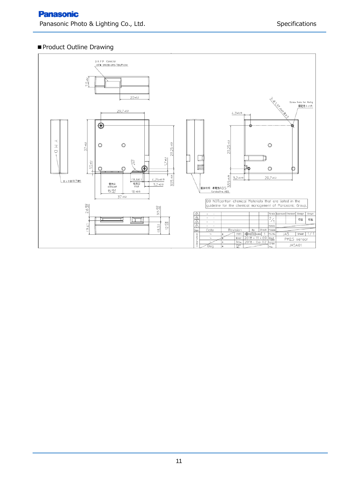### ■ Product Outline Drawing